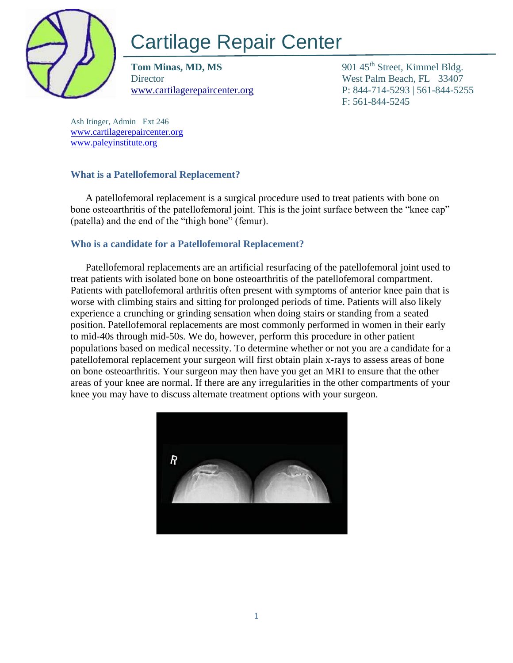

# Cartilage Repair Center

**Tom Minas, MD, MS** 901 45<sup>th</sup> Street, Kimmel Bldg. Director West Palm Beach, FL 33407

[www.cartilagerepaircenter.org](http://www.cartilagerepaircenter.org/) P: 844-714-5293 | 561-844-5255 F: 561-844-5245

Ash Itinger, Admin Ext 246 [www.cartilagerepaircenter.org](about:blank) [www.paleyinstitute.org](about:blank)

## **What is a Patellofemoral Replacement?**

A patellofemoral replacement is a surgical procedure used to treat patients with bone on bone osteoarthritis of the patellofemoral joint. This is the joint surface between the "knee cap" (patella) and the end of the "thigh bone" (femur).

## **Who is a candidate for a Patellofemoral Replacement?**

Patellofemoral replacements are an artificial resurfacing of the patellofemoral joint used to treat patients with isolated bone on bone osteoarthritis of the patellofemoral compartment. Patients with patellofemoral arthritis often present with symptoms of anterior knee pain that is worse with climbing stairs and sitting for prolonged periods of time. Patients will also likely experience a crunching or grinding sensation when doing stairs or standing from a seated position. Patellofemoral replacements are most commonly performed in women in their early to mid-40s through mid-50s. We do, however, perform this procedure in other patient populations based on medical necessity. To determine whether or not you are a candidate for a patellofemoral replacement your surgeon will first obtain plain x-rays to assess areas of bone on bone osteoarthritis. Your surgeon may then have you get an MRI to ensure that the other areas of your knee are normal. If there are any irregularities in the other compartments of your knee you may have to discuss alternate treatment options with your surgeon.

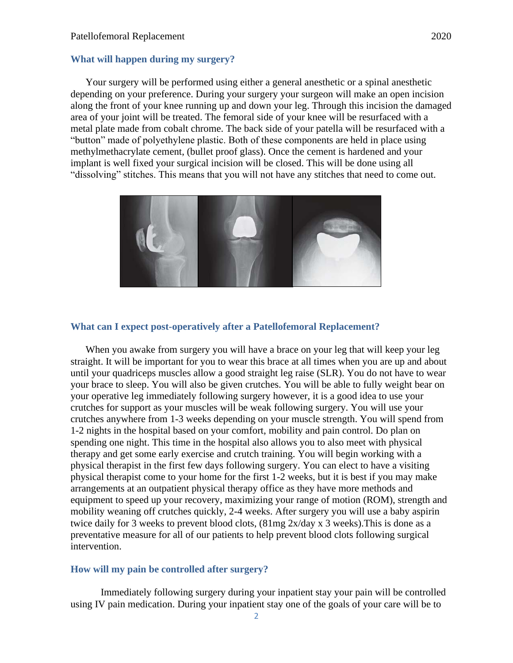#### **What will happen during my surgery?**

Your surgery will be performed using either a general anesthetic or a spinal anesthetic depending on your preference. During your surgery your surgeon will make an open incision along the front of your knee running up and down your leg. Through this incision the damaged area of your joint will be treated. The femoral side of your knee will be resurfaced with a metal plate made from cobalt chrome. The back side of your patella will be resurfaced with a "button" made of polyethylene plastic. Both of these components are held in place using methylmethacrylate cement, (bullet proof glass). Once the cement is hardened and your implant is well fixed your surgical incision will be closed. This will be done using all "dissolving" stitches. This means that you will not have any stitches that need to come out.



#### **What can I expect post-operatively after a Patellofemoral Replacement?**

When you awake from surgery you will have a brace on your leg that will keep your leg straight. It will be important for you to wear this brace at all times when you are up and about until your quadriceps muscles allow a good straight leg raise (SLR). You do not have to wear your brace to sleep. You will also be given crutches. You will be able to fully weight bear on your operative leg immediately following surgery however, it is a good idea to use your crutches for support as your muscles will be weak following surgery. You will use your crutches anywhere from 1-3 weeks depending on your muscle strength. You will spend from 1-2 nights in the hospital based on your comfort, mobility and pain control. Do plan on spending one night. This time in the hospital also allows you to also meet with physical therapy and get some early exercise and crutch training. You will begin working with a physical therapist in the first few days following surgery. You can elect to have a visiting physical therapist come to your home for the first 1-2 weeks, but it is best if you may make arrangements at an outpatient physical therapy office as they have more methods and equipment to speed up your recovery, maximizing your range of motion (ROM), strength and mobility weaning off crutches quickly, 2-4 weeks. After surgery you will use a baby aspirin twice daily for 3 weeks to prevent blood clots, (81mg 2x/day x 3 weeks).This is done as a preventative measure for all of our patients to help prevent blood clots following surgical intervention.

#### **How will my pain be controlled after surgery?**

Immediately following surgery during your inpatient stay your pain will be controlled using IV pain medication. During your inpatient stay one of the goals of your care will be to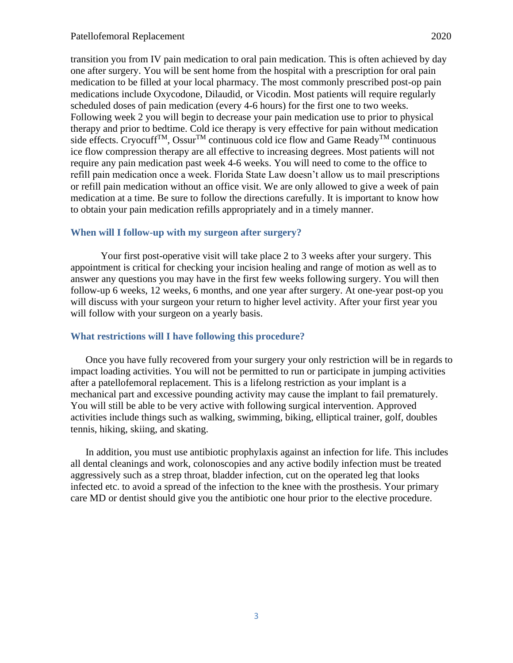transition you from IV pain medication to oral pain medication. This is often achieved by day one after surgery. You will be sent home from the hospital with a prescription for oral pain medication to be filled at your local pharmacy. The most commonly prescribed post-op pain medications include Oxycodone, Dilaudid, or Vicodin. Most patients will require regularly scheduled doses of pain medication (every 4-6 hours) for the first one to two weeks. Following week 2 you will begin to decrease your pain medication use to prior to physical therapy and prior to bedtime. Cold ice therapy is very effective for pain without medication side effects. Cryocuff<sup>TM</sup>, Ossur<sup>TM</sup> continuous cold ice flow and Game Ready<sup>TM</sup> continuous ice flow compression therapy are all effective to increasing degrees. Most patients will not require any pain medication past week 4-6 weeks. You will need to come to the office to refill pain medication once a week. Florida State Law doesn't allow us to mail prescriptions or refill pain medication without an office visit. We are only allowed to give a week of pain medication at a time. Be sure to follow the directions carefully. It is important to know how to obtain your pain medication refills appropriately and in a timely manner.

#### **When will I follow-up with my surgeon after surgery?**

Your first post-operative visit will take place 2 to 3 weeks after your surgery. This appointment is critical for checking your incision healing and range of motion as well as to answer any questions you may have in the first few weeks following surgery. You will then follow-up 6 weeks, 12 weeks, 6 months, and one year after surgery. At one-year post-op you will discuss with your surgeon your return to higher level activity. After your first year you will follow with your surgeon on a yearly basis.

#### **What restrictions will I have following this procedure?**

Once you have fully recovered from your surgery your only restriction will be in regards to impact loading activities. You will not be permitted to run or participate in jumping activities after a patellofemoral replacement. This is a lifelong restriction as your implant is a mechanical part and excessive pounding activity may cause the implant to fail prematurely. You will still be able to be very active with following surgical intervention. Approved activities include things such as walking, swimming, biking, elliptical trainer, golf, doubles tennis, hiking, skiing, and skating.

In addition, you must use antibiotic prophylaxis against an infection for life. This includes all dental cleanings and work, colonoscopies and any active bodily infection must be treated aggressively such as a strep throat, bladder infection, cut on the operated leg that looks infected etc. to avoid a spread of the infection to the knee with the prosthesis. Your primary care MD or dentist should give you the antibiotic one hour prior to the elective procedure.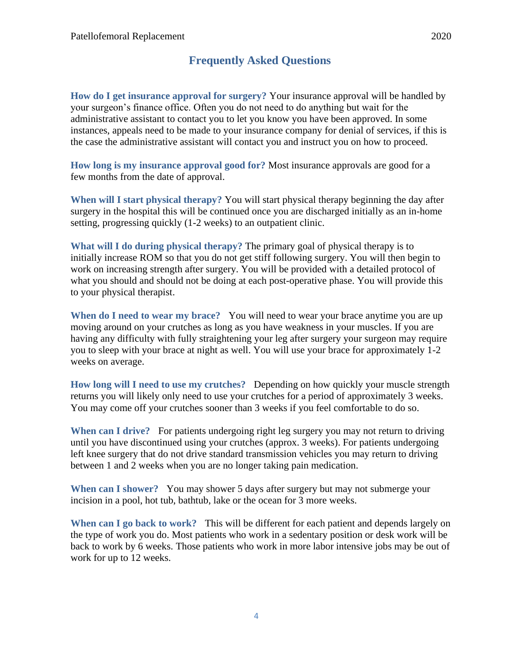# **Frequently Asked Questions**

**How do I get insurance approval for surgery?** Your insurance approval will be handled by your surgeon's finance office. Often you do not need to do anything but wait for the administrative assistant to contact you to let you know you have been approved. In some instances, appeals need to be made to your insurance company for denial of services, if this is the case the administrative assistant will contact you and instruct you on how to proceed.

**How long is my insurance approval good for?** Most insurance approvals are good for a few months from the date of approval.

**When will I start physical therapy?** You will start physical therapy beginning the day after surgery in the hospital this will be continued once you are discharged initially as an in-home setting, progressing quickly (1-2 weeks) to an outpatient clinic.

**What will I do during physical therapy?** The primary goal of physical therapy is to initially increase ROM so that you do not get stiff following surgery. You will then begin to work on increasing strength after surgery. You will be provided with a detailed protocol of what you should and should not be doing at each post-operative phase. You will provide this to your physical therapist.

**When do I need to wear my brace?** You will need to wear your brace anytime you are up moving around on your crutches as long as you have weakness in your muscles. If you are having any difficulty with fully straightening your leg after surgery your surgeon may require you to sleep with your brace at night as well. You will use your brace for approximately 1-2 weeks on average.

**How long will I need to use my crutches?** Depending on how quickly your muscle strength returns you will likely only need to use your crutches for a period of approximately 3 weeks. You may come off your crutches sooner than 3 weeks if you feel comfortable to do so.

**When can I drive?** For patients undergoing right leg surgery you may not return to driving until you have discontinued using your crutches (approx. 3 weeks). For patients undergoing left knee surgery that do not drive standard transmission vehicles you may return to driving between 1 and 2 weeks when you are no longer taking pain medication.

**When can I shower?** You may shower 5 days after surgery but may not submerge your incision in a pool, hot tub, bathtub, lake or the ocean for 3 more weeks.

**When can I go back to work?** This will be different for each patient and depends largely on the type of work you do. Most patients who work in a sedentary position or desk work will be back to work by 6 weeks. Those patients who work in more labor intensive jobs may be out of work for up to 12 weeks.

4